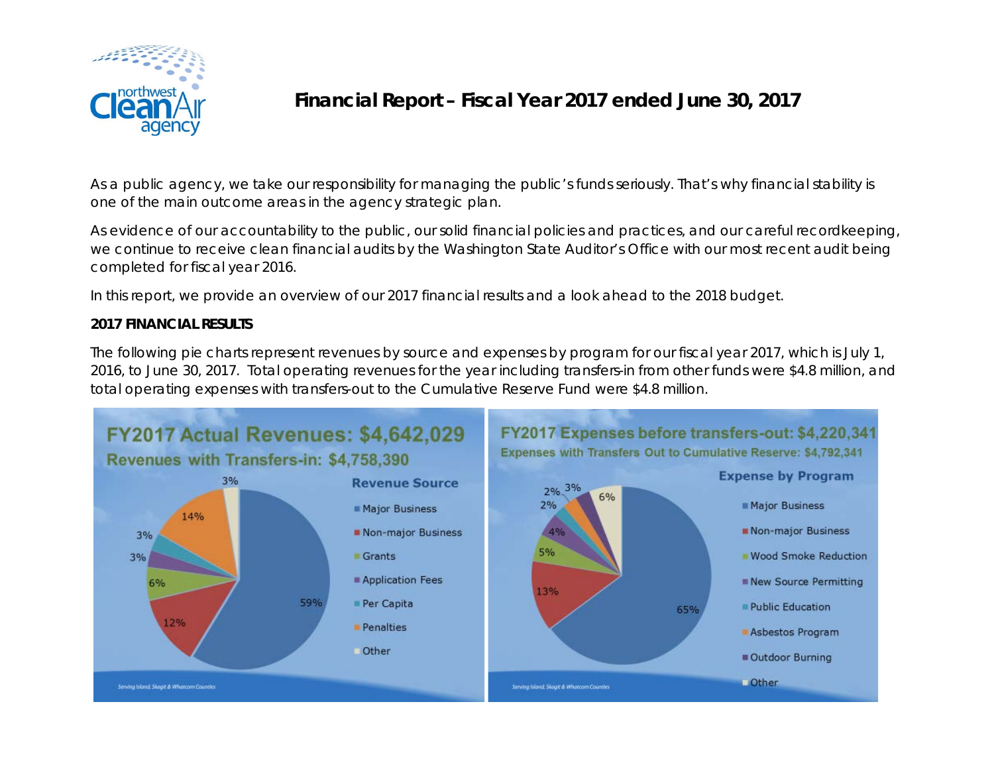

## **Financial Report – Fiscal Year 2017 ended June 30, 2017**

As a public agency, we take our responsibility for managing the public's funds seriously. That's why financial stability is one of the main outcome areas in the agency strategic plan.

As evidence of our accountability to the public, our solid financial policies and practices, and our careful recordkeeping, we continue to receive clean financial audits by the Washington State Auditor's Office with our most recent audit being completed for fiscal year 2016.

In this report, we provide an overview of our 2017 financial results and a look ahead to the 2018 budget.

## **2017 FINANCIAL RESULTS**

The following pie charts represent revenues by source and expenses by program for our fiscal year 2017, which is July 1, 2016, to June 30, 2017. Total operating revenues for the year including transfers-in from other funds were \$4.8 million, and total operating expenses with transfers-out to the Cumulative Reserve Fund were \$4.8 million.

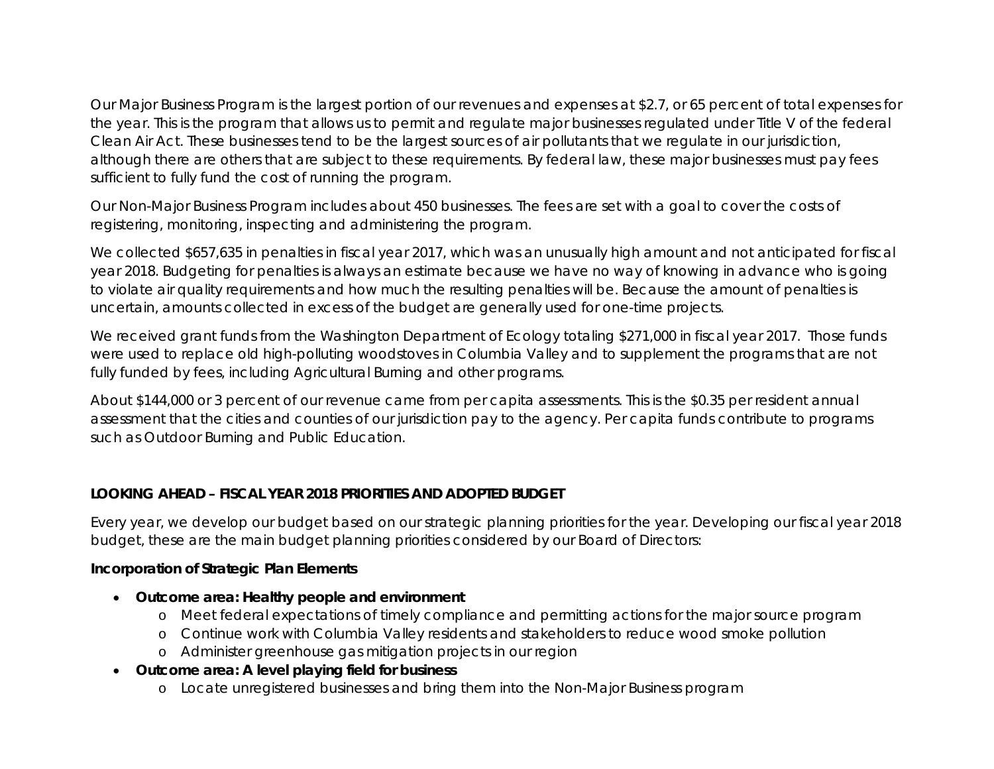Our Major Business Program is the largest portion of our revenues and expenses at \$2.7, or 65 percent of total expenses for the year. This is the program that allows us to permit and regulate major businesses regulated under Title V of the federal Clean Air Act. These businesses tend to be the largest sources of air pollutants that we regulate in our jurisdiction, although there are others that are subject to these requirements. By federal law, these major businesses must pay fees sufficient to fully fund the cost of running the program.

Our Non-Major Business Program includes about 450 businesses. The fees are set with a goal to cover the costs of registering, monitoring, inspecting and administering the program.

We collected \$657,635 in penalties in fiscal year 2017, which was an unusually high amount and not anticipated for fiscal year 2018. Budgeting for penalties is always an estimate because we have no way of knowing in advance who is going to violate air quality requirements and how much the resulting penalties will be. Because the amount of penalties is uncertain, amounts collected in excess of the budget are generally used for one-time projects.

We received grant funds from the Washington Department of Ecology totaling \$271,000 in fiscal year 2017. Those funds were used to replace old high-polluting woodstoves in Columbia Valley and to supplement the programs that are not fully funded by fees, including Agricultural Burning and other programs.

About \$144,000 or 3 percent of our revenue came from per capita assessments. This is the \$0.35 per resident annual assessment that the cities and counties of our jurisdiction pay to the agency. Per capita funds contribute to programs such as Outdoor Burning and Public Education.

## **LOOKING AHEAD – FISCAL YEAR 2018 PRIORITIES AND ADOPTED BUDGET**

Every year, we develop our budget based on our strategic planning priorities for the year. Developing our fiscal year 2018 budget, these are the main budget planning priorities considered by our Board of Directors:

## **Incorporation of Strategic Plan Elements**

- **Outcome area: Healthy people and environment**
	- o Meet federal expectations of timely compliance and permitting actions for the major source program
	- o Continue work with Columbia Valley residents and stakeholders to reduce wood smoke pollution
	- o Administer greenhouse gas mitigation projects in our region
- **Outcome area: A level playing field for business**
	- o Locate unregistered businesses and bring them into the Non-Major Business program